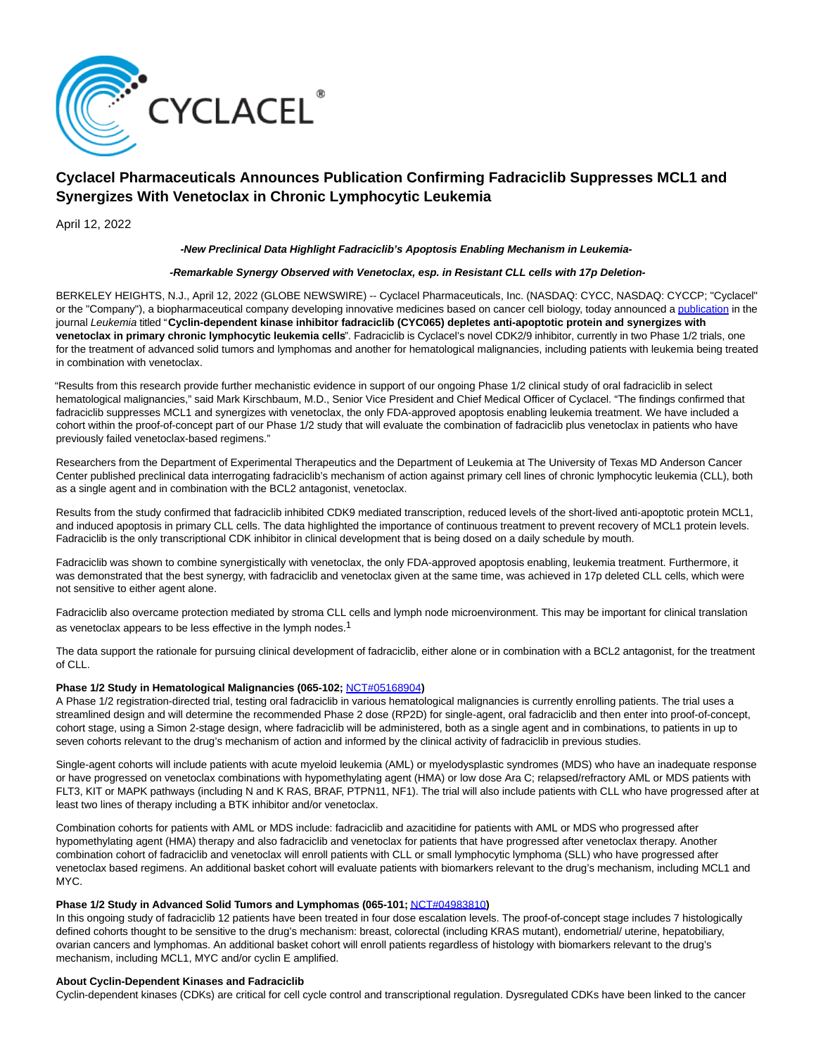

# **Cyclacel Pharmaceuticals Announces Publication Confirming Fadraciclib Suppresses MCL1 and Synergizes With Venetoclax in Chronic Lymphocytic Leukemia**

April 12, 2022

## **-New Preclinical Data Highlight Fadraciclib's Apoptosis Enabling Mechanism in Leukemia-**

# **-Remarkable Synergy Observed with Venetoclax, esp. in Resistant CLL cells with 17p Deletion-**

BERKELEY HEIGHTS, N.J., April 12, 2022 (GLOBE NEWSWIRE) -- Cyclacel Pharmaceuticals, Inc. (NASDAQ: CYCC, NASDAQ: CYCCP; "Cyclacel" or the "Company"), a biopharmaceutical company developing innovative medicines based on cancer cell biology, today announced a [publication i](https://www.globenewswire.com/Tracker?data=0o7SFD7ERqp1olVQSbjIXLKSyoGd5WBq-Lqs5IqhK2LTwSH9Axwe2TAcJ2bw2E-UP6pFpLyPvzUkkxIZyS262Wut35hJu7dH0pgaX0VNvuTydu3xOeR4Yz8fpeLjwk8_)n the journal Leukemia titled "**Cyclin-dependent kinase inhibitor fadraciclib (CYC065) depletes anti-apoptotic protein and synergizes with** venetoclax in primary chronic lymphocytic leukemia cells". Fadraciclib is Cyclacel's novel CDK2/9 inhibitor, currently in two Phase 1/2 trials, one for the treatment of advanced solid tumors and lymphomas and another for hematological malignancies, including patients with leukemia being treated in combination with venetoclax.

"Results from this research provide further mechanistic evidence in support of our ongoing Phase 1/2 clinical study of oral fadraciclib in select hematological malignancies," said Mark Kirschbaum, M.D., Senior Vice President and Chief Medical Officer of Cyclacel. "The findings confirmed that fadraciclib suppresses MCL1 and synergizes with venetoclax, the only FDA-approved apoptosis enabling leukemia treatment. We have included a cohort within the proof-of-concept part of our Phase 1/2 study that will evaluate the combination of fadraciclib plus venetoclax in patients who have previously failed venetoclax-based regimens."

Researchers from the Department of Experimental Therapeutics and the Department of Leukemia at The University of Texas MD Anderson Cancer Center published preclinical data interrogating fadraciclib's mechanism of action against primary cell lines of chronic lymphocytic leukemia (CLL), both as a single agent and in combination with the BCL2 antagonist, venetoclax.

Results from the study confirmed that fadraciclib inhibited CDK9 mediated transcription, reduced levels of the short-lived anti-apoptotic protein MCL1, and induced apoptosis in primary CLL cells. The data highlighted the importance of continuous treatment to prevent recovery of MCL1 protein levels. Fadraciclib is the only transcriptional CDK inhibitor in clinical development that is being dosed on a daily schedule by mouth.

Fadraciclib was shown to combine synergistically with venetoclax, the only FDA-approved apoptosis enabling, leukemia treatment. Furthermore, it was demonstrated that the best synergy, with fadraciclib and venetoclax given at the same time, was achieved in 17p deleted CLL cells, which were not sensitive to either agent alone.

Fadraciclib also overcame protection mediated by stroma CLL cells and lymph node microenvironment. This may be important for clinical translation as venetoclax appears to be less effective in the lymph nodes.<sup>1</sup>

The data support the rationale for pursuing clinical development of fadraciclib, either alone or in combination with a BCL2 antagonist, for the treatment of CLL.

#### Phase 1/2 Study in Hematological Malignancies (065-102; [NCT#05168904](https://www.globenewswire.com/Tracker?data=NK_5DEM46lUttAPdcz55CLCpgNvQEJnHUJKGkLSIKcP6V2RVWHVr3pZpGDE4GEq-fXxKsw4RzYQU4_zXX8PtVwU0x_CR3k4J2keqHFLdCqmlOVtXn2Vw6d-UsBNsIoQMRvEbl6_zNtRn3wMLyjEr-rTTR0pDQ-KOu91wN9oJRLQ=))

A Phase 1/2 registration-directed trial, testing oral fadraciclib in various hematological malignancies is currently enrolling patients. The trial uses a streamlined design and will determine the recommended Phase 2 dose (RP2D) for single-agent, oral fadraciclib and then enter into proof-of-concept, cohort stage, using a Simon 2-stage design, where fadraciclib will be administered, both as a single agent and in combinations, to patients in up to seven cohorts relevant to the drug's mechanism of action and informed by the clinical activity of fadraciclib in previous studies.

Single-agent cohorts will include patients with acute myeloid leukemia (AML) or myelodysplastic syndromes (MDS) who have an inadequate response or have progressed on venetoclax combinations with hypomethylating agent (HMA) or low dose Ara C; relapsed/refractory AML or MDS patients with FLT3, KIT or MAPK pathways (including N and K RAS, BRAF, PTPN11, NF1). The trial will also include patients with CLL who have progressed after at least two lines of therapy including a BTK inhibitor and/or venetoclax.

Combination cohorts for patients with AML or MDS include: fadraciclib and azacitidine for patients with AML or MDS who progressed after hypomethylating agent (HMA) therapy and also fadraciclib and venetoclax for patients that have progressed after venetoclax therapy. Another combination cohort of fadraciclib and venetoclax will enroll patients with CLL or small lymphocytic lymphoma (SLL) who have progressed after venetoclax based regimens. An additional basket cohort will evaluate patients with biomarkers relevant to the drug's mechanism, including MCL1 and MYC.

## **Phase 1/2 Study in Advanced Solid Tumors and Lymphomas (065-101;** [NCT#04983810](https://www.globenewswire.com/Tracker?data=2rulkHdULQ5DEsydPCpCenXK5Kb2APgG5gDxsyAXjJ4RhA-ycsGKeR8Wfi2G_5aoMIowV4a52nSIwG4zmKEFervLwwE5paKel8cVe0WF9h00j_pPSiMXrY3l_f4Xd7vfwGg9REI6EuLuFx9YBntU6-pkD1iv-t3mQj6nkLwY9YE=)**)**

In this ongoing study of fadraciclib 12 patients have been treated in four dose escalation levels. The proof-of-concept stage includes 7 histologically defined cohorts thought to be sensitive to the drug's mechanism: breast, colorectal (including KRAS mutant), endometrial/ uterine, hepatobiliary, ovarian cancers and lymphomas. An additional basket cohort will enroll patients regardless of histology with biomarkers relevant to the drug's mechanism, including MCL1, MYC and/or cyclin E amplified.

## **About Cyclin-Dependent Kinases and Fadraciclib**

Cyclin-dependent kinases (CDKs) are critical for cell cycle control and transcriptional regulation. Dysregulated CDKs have been linked to the cancer